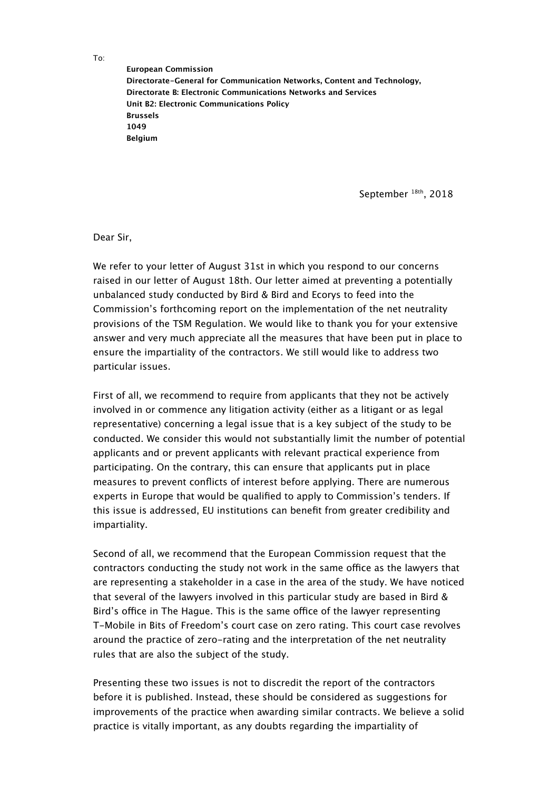To:

**European Commission Directorate-General for Communication Networks, Content and Technology, Directorate B: Electronic Communications Networks and Services Unit B2: Electronic Communications Policy Brussels 1049 Belgium**

September<sup>18th</sup>, 2018

Dear Sir,

We refer to your letter of August 31st in which you respond to our concerns raised in our letter of August 18th. Our letter aimed at preventing a potentially unbalanced study conducted by Bird & Bird and Ecorys to feed into the Commission's forthcoming report on the implementation of the net neutrality provisions of the TSM Regulation. We would like to thank you for your extensive answer and very much appreciate all the measures that have been put in place to ensure the impartiality of the contractors. We still would like to address two particular issues.

First of all, we recommend to require from applicants that they not be actively involved in or commence any litigation activity (either as a litigant or as legal representative) concerning a legal issue that is a key subject of the study to be conducted. We consider this would not substantially limit the number of potential applicants and or prevent applicants with relevant practical experience from participating. On the contrary, this can ensure that applicants put in place measures to prevent conficts of interest before applying. There are numerous experts in Europe that would be qualifed to apply to Commission's tenders. If this issue is addressed, EU institutions can beneft from greater credibility and impartiality.

Second of all, we recommend that the European Commission request that the contractors conducting the study not work in the same office as the lawyers that are representing a stakeholder in a case in the area of the study. We have noticed that several of the lawyers involved in this particular study are based in Bird & Bird's office in The Hague. This is the same office of the lawyer representing T-Mobile in Bits of Freedom's court case on zero rating. This court case revolves around the practice of zero-rating and the interpretation of the net neutrality rules that are also the subject of the study.

Presenting these two issues is not to discredit the report of the contractors before it is published. Instead, these should be considered as suggestions for improvements of the practice when awarding similar contracts. We believe a solid practice is vitally important, as any doubts regarding the impartiality of